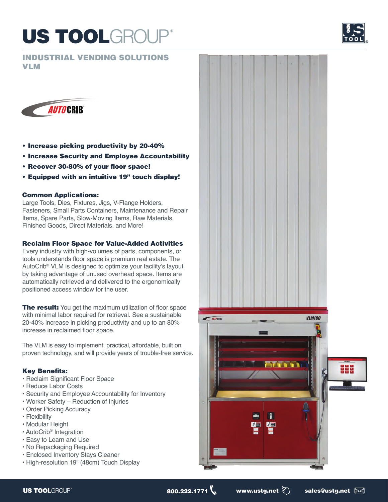# **US TOOLGROUP**

INDUSTRIAL VENDING SOLUTIONS VLM





- Increase picking productivity by 20-40%
- Increase Security and Employee Accountability
- Recover 30-80% of your floor space!
- Equipped with an intuitive 19" touch display!

# Common Applications:

Large Tools, Dies, Fixtures, Jigs, V-Flange Holders, Fasteners, Small Parts Containers, Maintenance and Repair Items, Spare Parts, Slow-Moving Items, Raw Materials, Finished Goods, Direct Materials, and More!

# Reclaim Floor Space for Value-Added Activities

Every industry with high-volumes of parts, components, or tools understands floor space is premium real estate. The AutoCrib® VLM is designed to optimize your facility's layout by taking advantage of unused overhead space. Items are automatically retrieved and delivered to the ergonomically positioned access window for the user.

The result: You get the maximum utilization of floor space with minimal labor required for retrieval. See a sustainable 20-40% increase in picking productivity and up to an 80% increase in reclaimed floor space.

The VLM is easy to implement, practical, affordable, built on proven technology, and will provide years of trouble-free service.

# Key Benefits:

- Reclaim Significant Floor Space
- Reduce Labor Costs
- Security and Employee Accountability for Inventory
- Worker Safety Reduction of Injuries
- Order Picking Accuracy
- Flexibility
- Modular Height
- AutoCrib® Integration
- Easy to Learn and Use
- No Repackaging Required
- Enclosed Inventory Stays Cleaner
- High-resolution 19" (48cm) Touch Display